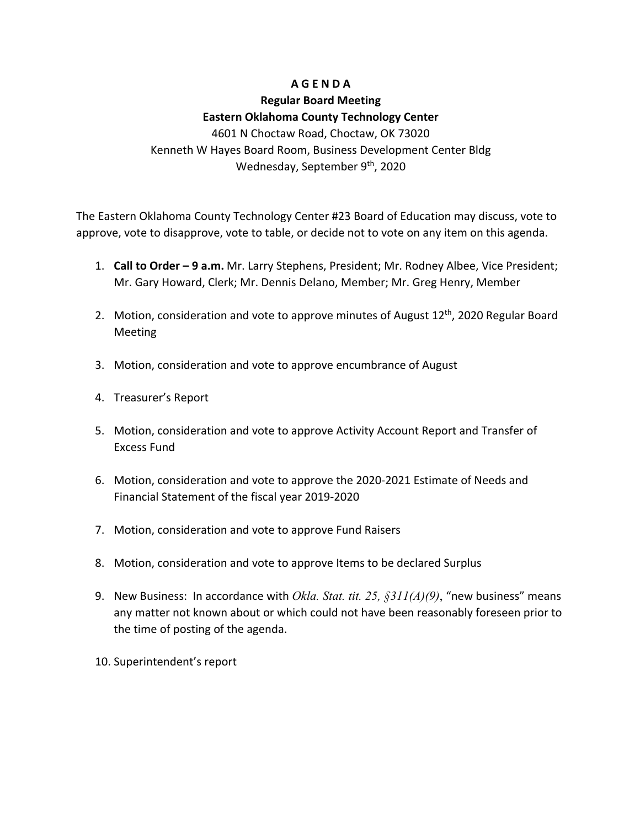#### **A G E N D A**

## **Regular Board Meeting Eastern Oklahoma County Technology Center** 4601 N Choctaw Road, Choctaw, OK 73020 Kenneth W Hayes Board Room, Business Development Center Bldg

### Wednesday, September 9<sup>th</sup>, 2020

The Eastern Oklahoma County Technology Center #23 Board of Education may discuss, vote to approve, vote to disapprove, vote to table, or decide not to vote on any item on this agenda.

- 1. **Call to Order – 9 a.m.** Mr. Larry Stephens, President; Mr. Rodney Albee, Vice President; Mr. Gary Howard, Clerk; Mr. Dennis Delano, Member; Mr. Greg Henry, Member
- 2. Motion, consideration and vote to approve minutes of August 12<sup>th</sup>, 2020 Regular Board Meeting
- 3. Motion, consideration and vote to approve encumbrance of August
- 4. Treasurer's Report
- 5. Motion, consideration and vote to approve Activity Account Report and Transfer of Excess Fund
- 6. Motion, consideration and vote to approve the 2020-2021 Estimate of Needs and Financial Statement of the fiscal year 2019-2020
- 7. Motion, consideration and vote to approve Fund Raisers
- 8. Motion, consideration and vote to approve Items to be declared Surplus
- 9. New Business: In accordance with *Okla. Stat. tit. 25, §311(A)(9)*, "new business" means any matter not known about or which could not have been reasonably foreseen prior to the time of posting of the agenda.
- 10. Superintendent's report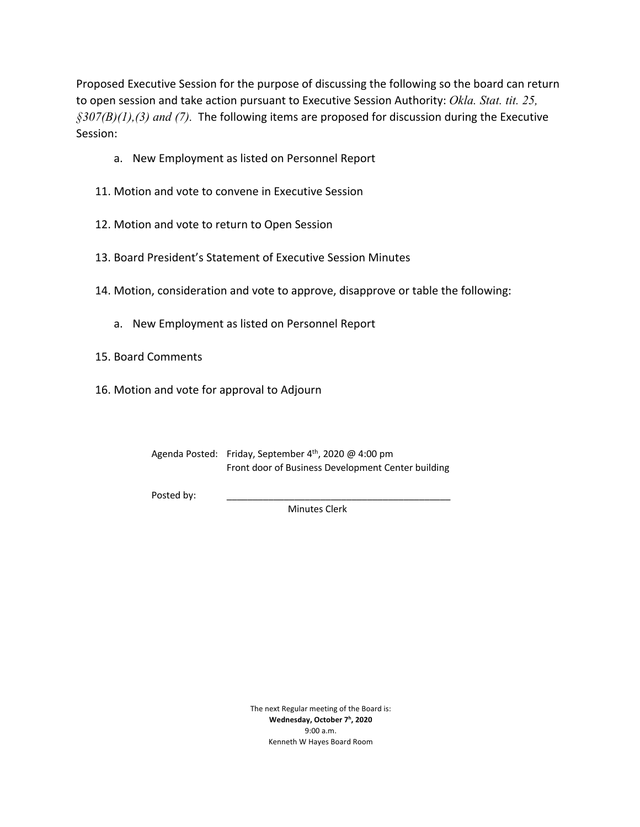Proposed Executive Session for the purpose of discussing the following so the board can return to open session and take action pursuant to Executive Session Authority: *Okla. Stat. tit. 25, §307(B)(1),(3) and (7).* The following items are proposed for discussion during the Executive Session:

- a. New Employment as listed on Personnel Report
- 11. Motion and vote to convene in Executive Session
- 12. Motion and vote to return to Open Session
- 13. Board President's Statement of Executive Session Minutes
- 14. Motion, consideration and vote to approve, disapprove or table the following:
	- a. New Employment as listed on Personnel Report
- 15. Board Comments
- 16. Motion and vote for approval to Adjourn

Agenda Posted: Friday, September 4<sup>th</sup>, 2020 @ 4:00 pm Front door of Business Development Center building

Posted by:

Minutes Clerk

The next Regular meeting of the Board is: **Wednesday, October 7h, 2020** 9:00 a.m. Kenneth W Hayes Board Room